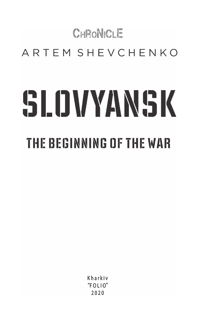# CHRONICLE ARTEM SHEVCHENKO SLOVYANSK **THE BEGINNING OF THE WAR**

Kharkiv  $"F$  $O$  $I$  $I$  $O"$  $2020$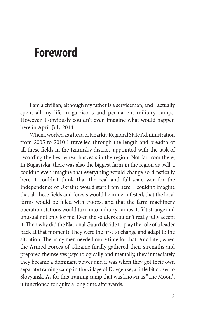### **Foreword**

I am a civilian, although my father is a serviceman, and I actually spent all my life in garrisons and permanent military camps. However, I obviously couldn't even imagine what would happen here in April-July 2014.

When I worked as a head of Kharkiv Regional State Administration from 2005 to 2010 I travelled through the length and breadth of all these fields in the Iziumsky district, appointed with the task of recording the best wheat harvests in the region. Not far from there, In Bugayivka, there was also the biggest farm in the region as well. I couldn't even imagine that everything would change so drastically here. I couldn't think that the real and full-scale war for the Independence of Ukraine would start from here. I couldn't imagine that all these fields and forests would be mine-infested, that the local farms would be filled with troops, and that the farm machinery operation stations would turn into military camps. It felt strange and unusual not only for me. Even the soldiers couldn't really fully accept it. Then why did the National Guard decide to play the role of a leader back at that moment? They were the first to change and adapt to the situation. The army men needed more time for that. And later, when the Armed Forces of Ukraine finally gathered their strengths and prepared themselves psychologically and mentally, they inmediately they became a dominant power and it was when they got their own separate training camp in the village of Dovgenke, a little bit closer to Slovyansk. As for this training camp that was known as "The Moon", it functioned for quite a long time afterwards.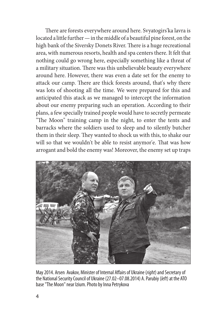There are forests everywhere around here. Svyatogirs'ka lavra is located a little further — in the middle of a beautiful pine forest, on the high bank of the Siversky Donets River. There is a huge recreational area, with numerous resorts, health and spa centers there. It felt that nothing could go wrong here, especially something like a threat of a military situation. There was this unbelievable beauty everywhere around here. However, there was even a date set for the enemy to attack our camp. There are thick forests around, that's why there was lots of shooting all the time. We were prepared for this and anticipated this atack as we managed to intercept the information about our enemy preparing such an operation. According to their plans, a few specially trained people would have to secretly permeate "The Moon" training camp in the night, to enter the tents and barracks where the soldiers used to sleep and to silently butcher them in their sleep. They wanted to shock us with this, to shake our will so that we wouldn't be able to resist anymor'e. That was how arrogant and bold the enemy was! Moreover, the enemy set up traps



May 2014. Arsen Avakov, Minister of Internal Affairs of Ukraine (*right*) and Secretary of the National Security Council of Ukraine (27.02–07.08.2014) A. Parubiy (*left*) at the ATO base "The Moon" near Izium. Photo by Inna Petrykova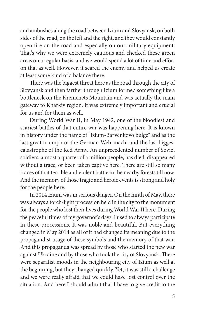and ambushes along the road between Izium and Slovyansk, on both sides of the road, on the left and the right, and they would constantly open fire on the road and especially on our military equipment. That's why we were extremely cautious and checked these green areas on a regular basis, and we would spend a lot of time and effort on that as well. However, it scared the enemy and helped us create at least some kind of a balance there.

There was the biggest threat here as the road through the city of Slovyansk and then farther through Izium formed something like a bottleneck on the Kremenets Mountain and was actually the main gateway to Kharkiv region. It was extremely important and crucial for us and for them as well.

During World War II, in May 1942, one of the bloodiest and scariest battles of that entire war was happening here. It is known in history under the name of "Izium-Barvenkovo bulge" and as the last great triumph of the German Wehrmacht and the last biggest catastrophe of the Red Army. An unprecedented number of Soviet soldiers, almost a quarter of a million people, has died, disappeared without a trace, or been taken captive here. There are still so many traces of that terrible and violent battle in the nearby forests till now. And the memory of those tragic and heroic events is strong and holy for the people here.

In 2014 Izium was in serious danger. On the ninth of May, there was always a torch-light procession held in the city to the monument for the people who lost their lives during World War II here. During the peaceful times of my governor's days, I used to always participate in these processions. It was noble and beautiful. But everything changed in May 2014 as all of it had changed its meaning due to the propagandist usage of these symbols and the memory of that war. And this propaganda was spread by those who started the new war against Ukraine and by those who took the city of Slovyansk. There were separatist moods in the neighbouring city of Izium as well at the beginning, but they changed quickly. Yet, it was still a challenge and we were really afraid that we could have lost control over the situation. And here I should admit that I have to give credit to the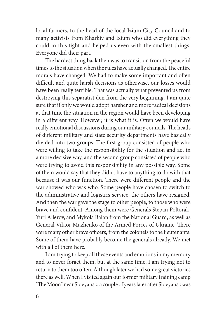local farmers, to the head of the local Izium City Council and to many activists from Kharkiv and Izium who did everything they could in this fight and helped us even with the smallest things. Everyone did their part.

The hardest thing back then was to transition from the peaceful times to the situation when the rules have actually changed. The entire morals have changed. We had to make some important and often difficult and quite harsh decisions as otherwise, our losses would have been really terrible. That was actually what prevented us from destroying this separatist den from the very beginning. I am quite sure that if only we would adopt harsher and more radical decisions at that time the situation in the region would have been developing in a different way. However, it is what it is. Often we would have really emotional discussions during our military councils. The heads of different military and state security departments have basically divided into two groups. The first group consisted of people who were willing to take the responsibility for the situation and act in a more decisive way, and the second group consisted of people who were trying to avoid this responsibility in any possible way. Some of them would say that they didn't have to anything to do with that because it was our function. There were different people and the war showed who was who. Some people have chosen to switch to the administrative and logistics service, the others have resigned. And then the war gave the stage to other people, to those who were brave and confident. Among them were Generals Stepan Poltorak, Yuri Allerov, and Mykola Balan from the National Guard, as well as General Viktor Muzhenko of the Armed Forces of Ukraine. There were many other brave officers, from the colonels to the lieutenants. Some of them have probably become the generals already. We met with all of them here.

I am trying to keep all these events and emotions in my memory and to never forget them, but at the same time, I am trying not to return to them too often. Although later we had some great victories there as well. When I visited again our former military training camp "The Moon" near Slovyansk, a couple of years later after Slovyansk was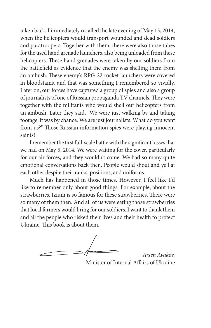taken back, I immediately recalled the late evening of May 13, 2014, when the helicopters would transport wounded and dead soldiers and paratroopers. Together with them, there were also those tubes for the used hand grenade launchers, also being unloaded from these helicopters. These hand grenades were taken by our soldiers from the battlefield as evidence that the enemy was shelling them from an ambush. These enemy's RPG-22 rocket launchers were covered in bloodstains, and that was something I remembered so vividly. Later on, our forces have captured a group of spies and also a group of journalists of one of Russian propaganda TV channels. They were together with the militants who would shell our helicopters from an ambush. Later they said, "We were just walking by and taking footage, it was by chance. We are just journalists. What do you want from us?" Those Russian information spies were playing innocent saints!

I remember the first full-scale battle with the significant losses that we had on May 5, 2014. We were waiting for the cover, particularly for our air forces, and they wouldn't come. We had so many quite emotional conversations back then. People would shout and yell at each other despite their ranks, positions, and uniforms.

Much has happened in those times. However, I feel like I'd like to remember only about good things. For example, about the strawberries. Izium is so famous for these strawberries. There were so many of them then. And all of us were eating those strawberries that local farmers would bring for our soldiers. I want to thank them and all the people who risked their lives and their health to protect Ukraine. This book is about them.

*Arsen Avakov,* Minister of Internal Affairs of Ukraine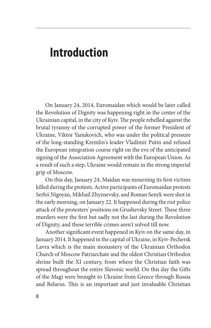### **Introduction**

On January 24, 2014, Euromaidan which would be later called the Revolution of Dignity was happening right in the center of the Ukrainian capital, in the city of Kyiv. The people rebelled against the brutal tyranny of the corrupted power of the former President of Ukraine, Viktor Yanukovich, who was under the political pressure of the long-standing Kremlin's leader Vladimir Putin and refused the European integration course right on the eve of the anticipated signing of the Association Agreement with the European Union. As a result of such a step, Ukraine would remain in the strong imperial grip of Moscow.

On this day, January 24, Maidan was mourning its first victims killed during the protests. Active participants of Euromaidan protests Serhii Nigoyan, Mikhail Zhyznevsky, and Roman Senyk were shot in the early morning, on January 22. It happened during the riot police attack of the protesters' positions on Grushevsky Street. These three murders were the first but sadly not the last during the Revolution of Dignity, and these terrible crimes aren't solved till now.

Another significant event happened in Kyiv on the same day, in January 2014. It happened in the capital of Ukraine, in Kyiv-Pechersk Lavra which is the main monastery of the Ukrainian Orthodox Church of Moscow Patriarchate and the oldest Christian Orthodox shrine built the XI century, from where the Christian faith was spread throughout the entire Slavonic world. On this day the Gifts of the Magi were brought to Ukraine from Greece through Russia and Belarus. This is an important and just invaluable Christian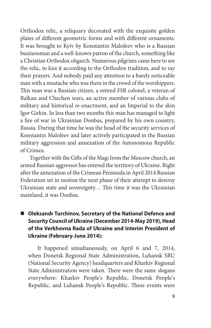Orthodox relic, a reliquary decorated with the exquisite golden plates of different geometric forms and with different ornaments. It was brought to Kyiv by Konstantin Malofeev who is a Russian businessman and a well-known patron of the church, something like a Christian Orthodox oligarch. Numerous pilgrims came here to see the relic, to kiss it according to the Orthodox tradition, and to say their prayers. And nobody paid any attention to a barely noticeable man with a mustache who was there in the crowd of the worshippers. This man was a Russian citizen, a retired FSB colonel, a veteran of Balkan and Chechen wars, an active member of various clubs of military and historical re-enactment, and an Imperial to the skin Igor Girkin. In less than two months this man has managed to light a fire of war in Ukrainian Donbas, prepared by his own country, Russia. During that time he was the head of the security services of Konstantin Malofeev and later actively participated in the Russian military aggression and annexation of the Autonomous Republic of Crimea.

Together with the Gifts of the Magi from the Moscow church, an armed Russian aggressor has entered the territory of Ukraine. Right after the annexation of the Crimean Peninsula in April 2014 Russian Federation set in motion the next phase of their attempt to destroy Ukrainian state and sovereignty… This time it was the Ukrainian mainland, it was Donbas.

### ■ Oleksandr Turchinov, Secretary of the National Defence and **Security Council of Ukraine (December 2014-May 2019), Head of the Verkhovna Rada of Ukraine and Interim President of Ukraine (February-June 2014):**

It happened simultaneously, on April 6 and 7, 2014, when Donetsk Regional State Administration, Luhansk SBU (National Security Agency) headquarters and Kharkiv Regional State Administration were taken. There were the same slogans everywhere: Kharkiv People's Republic, Donetsk People's Republic, and Luhansk People's Republic. These events were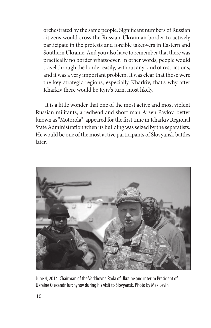orchestrated by the same people. Significant numbers of Russian citizens would cross the Russian-Ukrainian border to actively participate in the protests and forcible takeovers in Eastern and Southern Ukraine. And you also have to remember that there was practically no border whatsoever. In other words, people would travel through the border easily, without any kind of restrictions, and it was a very important problem. It was clear that those were the key strategic regions, especially Kharkiv, that's why after Kharkiv there would be Kyiv's turn, most likely.

It is a little wonder that one of the most active and most violent Russian militants, a redhead and short man Arsen Pavlov, better known as "Motorola", appeared for the first time in Kharkiv Regional State Administration when its building was seized by the separatists. He would be one of the most active participants of Slovyansk battles later.



June 4, 2014. Chairman of the Verkhovna Rada of Ukraine and interim President of Ukraine Olexandr Turchynov during his visit to Slovyansk. Photo by Max Levin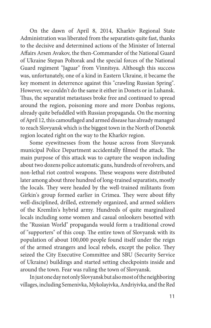On the dawn of April 8, 2014, Kharkiv Regional State Administration was liberated from the separatists quite fast, thanks to the decisive and determined actions of the Minister of Internal Affairs Arsen Avakov, the then-Commander of the National Guard of Ukraine Stepan Poltorak and the special forces of the National Guard regiment "Jaguar" from Vinnitsya. Although this success was, unfortunately, one of a kind in Eastern Ukraine, it became the key moment in deterrence against this "crawling Russian Spring". However, we couldn't do the same it either in Donets or in Luhansk. Thus, the separatist metastases broke free and continued to spread around the region, poisoning more and more Donbas regions, already quite befuddled with Russian propaganda. On the morning of April 12, this camouflaged and armed disease has already managed to reach Slovyansk which is the biggest town in the North of Donetsk region located right on the way to the Kharkiv region.

Some eyewitnesses from the house across from Slovyansk municipal Police Department accidentally filmed the attack. The main purpose of this attack was to capture the weapon including about two dozens police automatic guns, hundreds of revolvers, and non-lethal riot control weapons. These weapons were distributed later among about three hundred of long-trained separatists, mostly the locals. They were headed by the well-trained militants from Girkin's group formed earlier in Crimea. They were about fifty well-disciplined, drilled, extremely organized, and armed soldiers of the Kremlin's hybrid army. Hundreds of quite marginalized locals including some women and casual onlookers besotted with the "Russian World" propaganda would form a traditional crowd of "supporters" of this coup. The entire town of Slovyansk with its population of about 100,000 people found itself under the reign of the armed strangers and local rebels, except the police. They seized the City Executive Committee and SBU (Security Service of Ukraine) buildings and started setting checkpoints inside and around the town. Fear was ruling the town of Slovyansk.

In just one day not only Slovyansk but also most of the neighboring villages, including Semenivka, Mykolayivka, Andriyivka, and the Red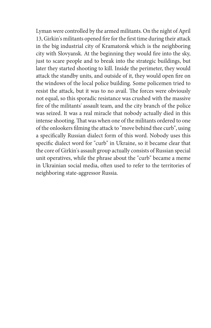Lyman were controlled by the armed militants. On the night of April 13, Girkin's militants opened fire for the first time during their attack in the big industrial city of Kramatorsk which is the neighboring city with Slovyansk. At the beginning they would fire into the sky, just to scare people and to break into the strategic buildings, but later they started shooting to kill. Inside the perimeter, they would attack the standby units, and outside of it, they would open fire on the windows of the local police building. Some policemen tried to resist the attack, but it was to no avail. The forces were obviously not equal, so this sporadic resistance was crushed with the massive fire of the militants' assault team, and the city branch of the police was seized. It was a real miracle that nobody actually died in this intense shooting. That was when one of the militants ordered to one of the onlookers filming the attack to "move behind thee curb", using a specifically Russian dialect form of this word. Nobody uses this specific dialect word for "curb" in Ukraine, so it became clear that the core of Girkin's assault group actually consists of Russian special unit operatives, while the phrase about the "curb" became a meme in Ukrainian social media, often used to refer to the territories of neighboring state-aggressor Russia.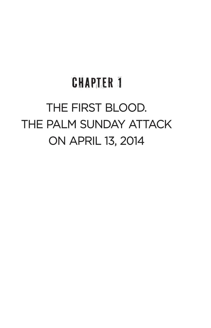# **CHAPTER 1 THE FIRST BLOOD. THE FIRST BLOOD. THE PALM SUNDAY ATTACK IE PALIYI SU ON APRIL 13, 2014**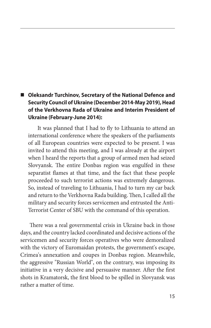### ■ Oleksandr Turchinov, Secretary of the National Defence and **Security Council of Ukraine (December 2014-May 2019), Head of the Verkhovna Rada of Ukraine and Interim President of Ukraine (February-June 2014):**

It was planned that I had to fly to Lithuania to attend an international conference where the speakers of the parliaments of all European countries were expected to be present. I was invited to attend this meeting, and I was already at the airport when I heard the reports that a group of armed men had seized Slovyansk. The entire Donbas region was engulfed in these separatist flames at that time, and the fact that these people proceeded to such terrorist actions was extremely dangerous. So, instead of traveling to Lithuania, I had to turn my car back and return to the Verkhovna Rada building. Then, I called all the military and security forces servicemen and entrusted the Anti-Terrorist Center of SBU with the command of this operation.

There was a real governmental crisis in Ukraine back in those days, and the country lacked coordinated and decisive actions of the servicemen and security forces operatives who were demoralized with the victory of Euromaidan protests, the government's escape, Crimea's annexation and coupes in Donbas region. Meanwhile, the aggressive "Russian World", on the contrary, was imposing its initiative in a very decisive and persuasive manner. After the first shots in Kramatorsk, the first blood to be spilled in Slovyansk was rather a matter of time.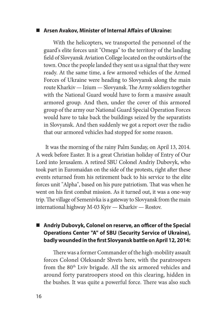#### **Arsen Avakov, Minister of Internal Affairs of Ukraine:**

With the helicopters, we transported the personnel of the guard's elite forces unit "Omega" to the territory of the landing field of Slovyansk Aviation College located on the outskirts of the town. Once the people landed they sent us a signal that they were ready. At the same time, a few armored vehicles of the Armed Forces of Ukraine were heading to Slovyansk along the main route Kharkiv — Izium — Slovyansk. The Army soldiers together with the National Guard would have to form a massive assault armored group. And then, under the cover of this armored group of the army our National Guard Special Operation Forces would have to take back the buildings seized by the separatists in Slovyansk. And then suddenly we got a report over the radio that our armored vehicles had stopped for some reason.

It was the morning of the rainy Palm Sunday, on April 13, 2014. A week before Easter. It is a great Christian holiday of Entry of Our Lord into Jerusalem. A retired SBU Colonel Andriy Dubovyk, who took part in Euromaidan on the side of the protests, right after these events returned from his retirement back to his service to the elite forces unit "Alpha", based on his pure patriotism. That was when he went on his first combat mission. As it turned out, it was a one-way trip. The village of Semenivka is a gateway to Slovyansk from the main international highway M-03 Kyiv — Kharkiv — Rostov.

#### ■ Andriy Dubovyk, Colonel on reserve, an officer of the Special **Operations Center "A" of SBU (Security Service of Ukraine), badly wounded in the first Slovyansk battle on April 12, 2014:**

There was a former Commander of the high-mobility assault forces Colonel Oleksandr Shvets here, with the paratroopers from the 80<sup>th</sup> Lviv brigade. All the six armored vehicles and around forty paratroopers stood on this clearing, hidden in the bushes. It was quite a powerful force. There was also such